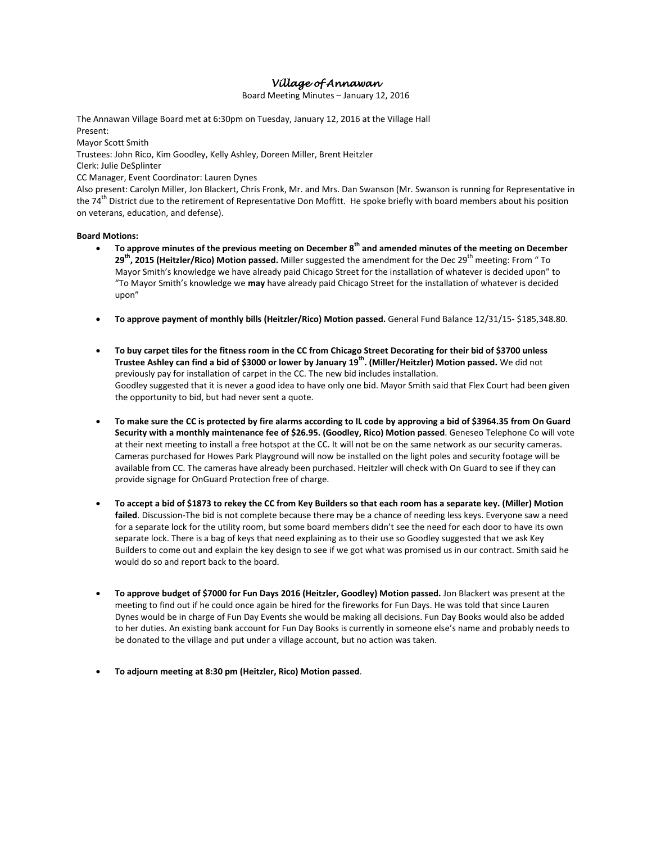# *Village of Annawan*

Board Meeting Minutes – January 12, 2016

The Annawan Village Board met at 6:30pm on Tuesday, January 12, 2016 at the Village Hall Present:

Mayor Scott Smith Trustees: John Rico, Kim Goodley, Kelly Ashley, Doreen Miller, Brent Heitzler Clerk: Julie DeSplinter CC Manager, Event Coordinator: Lauren Dynes

Also present: Carolyn Miller, Jon Blackert, Chris Fronk, Mr. and Mrs. Dan Swanson (Mr. Swanson is running for Representative in the 74<sup>th</sup> District due to the retirement of Representative Don Moffitt. He spoke briefly with board members about his position on veterans, education, and defense).

## **Board Motions:**

- **To approve minutes of the previous meeting on December 8th and amended minutes of the meeting on December 29<sup>th</sup>, 2015 (Heitzler/Rico) Motion passed.** Miller suggested the amendment for the Dec 29<sup>th</sup> meeting: From " To Mayor Smith's knowledge we have already paid Chicago Street for the installation of whatever is decided upon" to "To Mayor Smith's knowledge we **may** have already paid Chicago Street for the installation of whatever is decided upon"
- **To approve payment of monthly bills (Heitzler/Rico) Motion passed.** General Fund Balance 12/31/15- \$185,348.80.
- **To buy carpet tiles for the fitness room in the CC from Chicago Street Decorating for their bid of \$3700 unless Trustee Ashley can find a bid of \$3000 or lower by January 19th. (Miller/Heitzler) Motion passed.** We did not previously pay for installation of carpet in the CC. The new bid includes installation. Goodley suggested that it is never a good idea to have only one bid. Mayor Smith said that Flex Court had been given the opportunity to bid, but had never sent a quote.
- **To make sure the CC is protected by fire alarms according to IL code by approving a bid of \$3964.35 from On Guard Security with a monthly maintenance fee of \$26.95. (Goodley, Rico) Motion passed**. Geneseo Telephone Co will vote at their next meeting to install a free hotspot at the CC. It will not be on the same network as our security cameras. Cameras purchased for Howes Park Playground will now be installed on the light poles and security footage will be available from CC. The cameras have already been purchased. Heitzler will check with On Guard to see if they can provide signage for OnGuard Protection free of charge.
- **To accept a bid of \$1873 to rekey the CC from Key Builders so that each room has a separate key. (Miller) Motion failed**. Discussion-The bid is not complete because there may be a chance of needing less keys. Everyone saw a need for a separate lock for the utility room, but some board members didn't see the need for each door to have its own separate lock. There is a bag of keys that need explaining as to their use so Goodley suggested that we ask Key Builders to come out and explain the key design to see if we got what was promised us in our contract. Smith said he would do so and report back to the board.
- **To approve budget of \$7000 for Fun Days 2016 (Heitzler, Goodley) Motion passed.** Jon Blackert was present at the meeting to find out if he could once again be hired for the fireworks for Fun Days. He was told that since Lauren Dynes would be in charge of Fun Day Events she would be making all decisions. Fun Day Books would also be added to her duties. An existing bank account for Fun Day Books is currently in someone else's name and probably needs to be donated to the village and put under a village account, but no action was taken.
- **To adjourn meeting at 8:30 pm (Heitzler, Rico) Motion passed**.